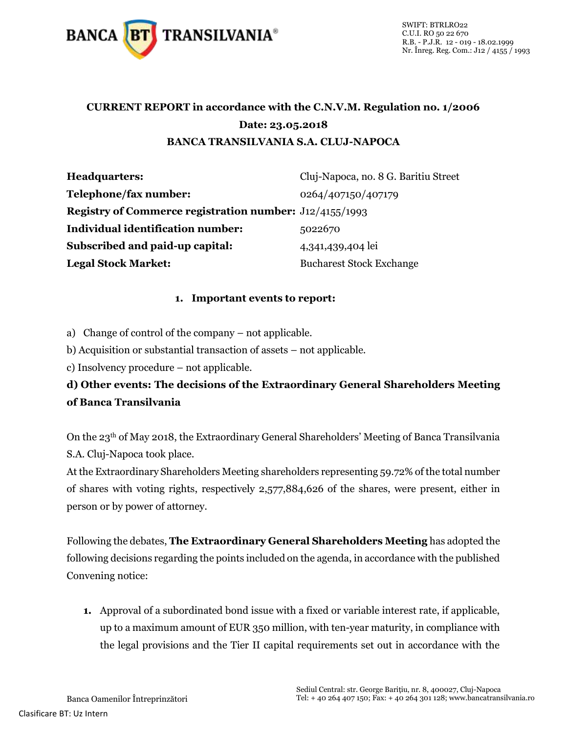

## **CURRENT REPORT in accordance with the C.N.V.M. Regulation no. 1/2006 Date: 23.05.2018 BANCA TRANSILVANIA S.A. CLUJ-NAPOCA**

| <b>Headquarters:</b>                                           | Cluj-Napoca, no. 8 G. Baritiu Street |
|----------------------------------------------------------------|--------------------------------------|
| Telephone/fax number:                                          | 0264/407150/407179                   |
| <b>Registry of Commerce registration number:</b> J12/4155/1993 |                                      |
| <b>Individual identification number:</b>                       | 5022670                              |
| Subscribed and paid-up capital:                                | 4,341,439,404 lei                    |
| <b>Legal Stock Market:</b>                                     | <b>Bucharest Stock Exchange</b>      |

## **1. Important events to report:**

a) Change of control of the company – not applicable.

b) Acquisition or substantial transaction of assets – not applicable.

c) Insolvency procedure – not applicable.

**d) Other events: The decisions of the Extraordinary General Shareholders Meeting of Banca Transilvania**

On the 23th of May 2018, the Extraordinary General Shareholders' Meeting of Banca Transilvania S.A. Cluj-Napoca took place.

At the Extraordinary Shareholders Meeting shareholders representing 59.72% of the total number of shares with voting rights, respectively 2,577,884,626 of the shares, were present, either in person or by power of attorney.

Following the debates, **The Extraordinary General Shareholders Meeting** has adopted the following decisions regarding the points included on the agenda, in accordance with the published Convening notice:

**1.** Approval of a subordinated bond issue with a fixed or variable interest rate, if applicable, up to a maximum amount of EUR 350 million, with ten-year maturity, in compliance with the legal provisions and the Tier II capital requirements set out in accordance with the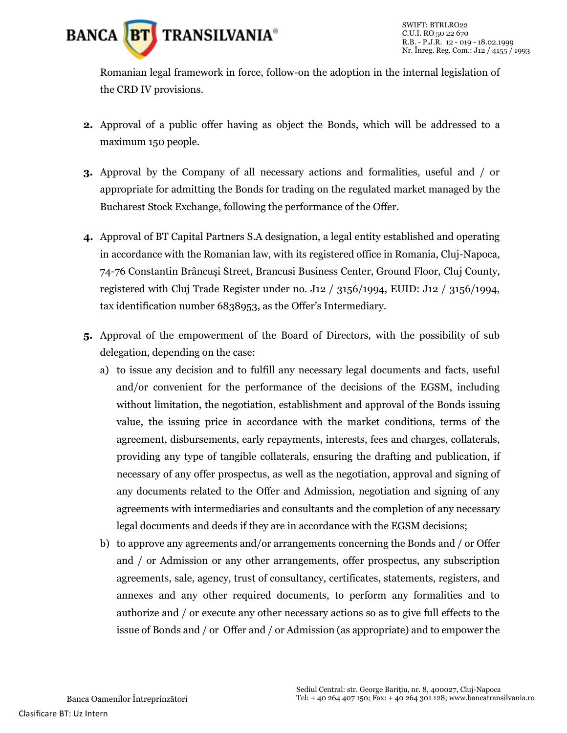

Romanian legal framework in force, follow-on the adoption in the internal legislation of the CRD IV provisions.

- **2.** Approval of a public offer having as object the Bonds, which will be addressed to a maximum 150 people.
- **3.** Approval by the Company of all necessary actions and formalities, useful and / or appropriate for admitting the Bonds for trading on the regulated market managed by the Bucharest Stock Exchange, following the performance of the Offer.
- **4.** Approval of BT Capital Partners S.A designation, a legal entity established and operating in accordance with the Romanian law, with its registered office in Romania, Cluj-Napoca, 74-76 Constantin Brâncuşi Street, Brancusi Business Center, Ground Floor, Cluj County, registered with Cluj Trade Register under no. J12 / 3156/1994, EUID: J12 / 3156/1994, tax identification number 6838953, as the Offer's Intermediary.
- **5.** Approval of the empowerment of the Board of Directors, with the possibility of sub delegation, depending on the case:
	- a) to issue any decision and to fulfill any necessary legal documents and facts, useful and/or convenient for the performance of the decisions of the EGSM, including without limitation, the negotiation, establishment and approval of the Bonds issuing value, the issuing price in accordance with the market conditions, terms of the agreement, disbursements, early repayments, interests, fees and charges, collaterals, providing any type of tangible collaterals, ensuring the drafting and publication, if necessary of any offer prospectus, as well as the negotiation, approval and signing of any documents related to the Offer and Admission, negotiation and signing of any agreements with intermediaries and consultants and the completion of any necessary legal documents and deeds if they are in accordance with the EGSM decisions;
	- b) to approve any agreements and/or arrangements concerning the Bonds and / or Offer and / or Admission or any other arrangements, offer prospectus, any subscription agreements, sale, agency, trust of consultancy, certificates, statements, registers, and annexes and any other required documents, to perform any formalities and to authorize and / or execute any other necessary actions so as to give full effects to the issue of Bonds and / or Offer and / or Admission (as appropriate) and to empower the